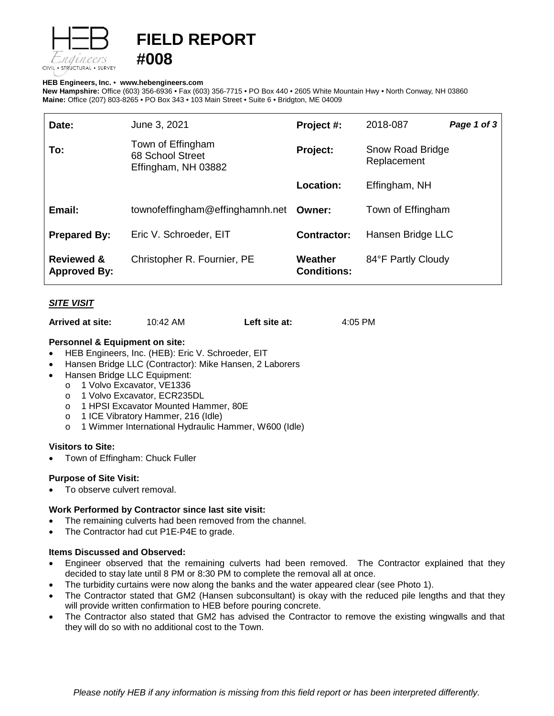

# **FIELD REPORT**

#### **HEB Engineers, Inc.** • **[www.hebengineer](http://www.hebengineers.com/)s.com**

**#008**

**New Hampshire:** Office (603) 356-6936 • Fax (603) 356-7715 • PO Box 440 • 2605 White Mountain Hwy • North Conway, NH 03860 **Maine:** Office (207) 803-8265 • PO Box 343 • 103 Main Street • Suite 6 • Bridgton, ME 04009

| Date:                                        | June 3, 2021                                                 | Project #:                    | 2018-087                        | Page 1 of 3 |
|----------------------------------------------|--------------------------------------------------------------|-------------------------------|---------------------------------|-------------|
| To:                                          | Town of Effingham<br>68 School Street<br>Effingham, NH 03882 | Project:                      | Snow Road Bridge<br>Replacement |             |
|                                              |                                                              | Location:                     | Effingham, NH                   |             |
| Email:                                       | townofeffingham@effinghamnh.net                              | Owner:                        | Town of Effingham               |             |
| <b>Prepared By:</b>                          | Eric V. Schroeder, EIT                                       | <b>Contractor:</b>            | Hansen Bridge LLC               |             |
| <b>Reviewed &amp;</b><br><b>Approved By:</b> | Christopher R. Fournier, PE                                  | Weather<br><b>Conditions:</b> | 84°F Partly Cloudy              |             |

# *SITE VISIT*

**Arrived at site:** 10:42 AM **Left site at:** 4:05 PM

### **Personnel & Equipment on site:**

- HEB Engineers, Inc. (HEB): Eric V. Schroeder, EIT
- Hansen Bridge LLC (Contractor): Mike Hansen, 2 Laborers
- Hansen Bridge LLC Equipment:
	-
	- o 1 Volvo Excavator, VE1336<br>o 1 Volvo Excavator, ECR235
	- o 1 Volvo Excavator, ECR235DL<br>o 1 HPSI Excavator Mounted Har 1 HPSI Excavator Mounted Hammer, 80E
	- o 1 ICE Vibratory Hammer, 216 (Idle)
	- o 1 Wimmer International Hydraulic Hammer, W600 (Idle)

### **Visitors to Site:**

• Town of Effingham: Chuck Fuller

### **Purpose of Site Visit:**

To observe culvert removal.

### **Work Performed by Contractor since last site visit:**

- The remaining culverts had been removed from the channel.
- The Contractor had cut P1E-P4E to grade.

### **Items Discussed and Observed:**

- Engineer observed that the remaining culverts had been removed. The Contractor explained that they decided to stay late until 8 PM or 8:30 PM to complete the removal all at once.
- The turbidity curtains were now along the banks and the water appeared clear (see Photo 1).
- The Contractor stated that GM2 (Hansen subconsultant) is okay with the reduced pile lengths and that they will provide written confirmation to HEB before pouring concrete.
- The Contractor also stated that GM2 has advised the Contractor to remove the existing wingwalls and that they will do so with no additional cost to the Town.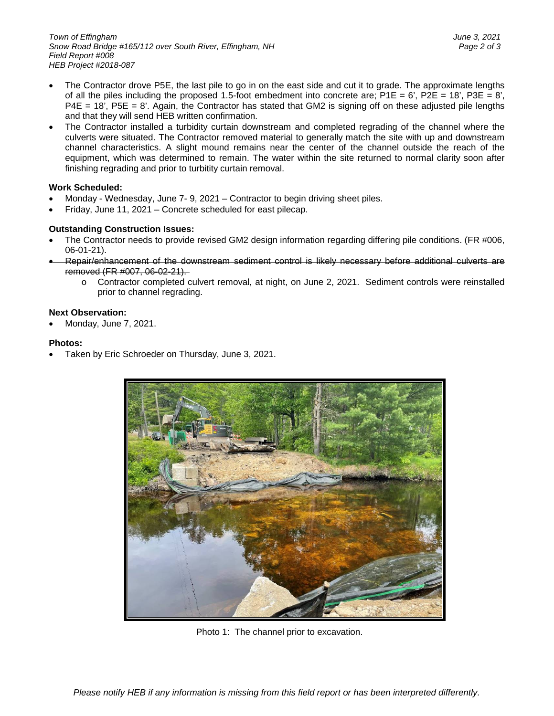- The Contractor drove P5E, the last pile to go in on the east side and cut it to grade. The approximate lengths of all the piles including the proposed 1.5-foot embedment into concrete are; P1E = 6', P2E = 18', P3E = 8', P4E = 18', P5E = 8'. Again, the Contractor has stated that GM2 is signing off on these adjusted pile lengths and that they will send HEB written confirmation.
- The Contractor installed a turbidity curtain downstream and completed regrading of the channel where the culverts were situated. The Contractor removed material to generally match the site with up and downstream channel characteristics. A slight mound remains near the center of the channel outside the reach of the equipment, which was determined to remain. The water within the site returned to normal clarity soon after finishing regrading and prior to turbitity curtain removal.

# **Work Scheduled:**

- Monday Wednesday, June 7- 9, 2021 Contractor to begin driving sheet piles.
- Friday, June 11, 2021 Concrete scheduled for east pilecap.

# **Outstanding Construction Issues:**

- The Contractor needs to provide revised GM2 design information regarding differing pile conditions. (FR #006, 06-01-21).
- Repair/enhancement of the downstream sediment control is likely necessary before additional culverts are removed (FR #007, 06-02-21).
	- o Contractor completed culvert removal, at night, on June 2, 2021. Sediment controls were reinstalled prior to channel regrading.

### **Next Observation:**

• Monday, June 7, 2021.

### **Photos:**

• Taken by Eric Schroeder on Thursday, June 3, 2021.



Photo 1: The channel prior to excavation.